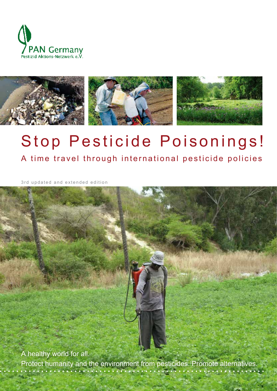



# Stop Pesticide Poisonings!

A time travel through international pesticide policies

3rd updated and extended edition

A healthy world for all. Protect humanity and the environment from pesticides. Promote alternatives.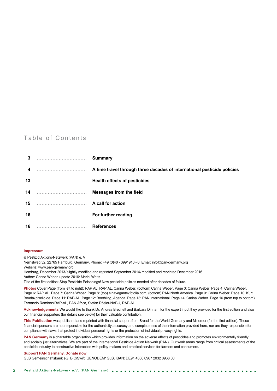#### Table of Contents

#### **Impressum**

© Pestizid Aktions-Netzwerk (PAN) e. V.

Nernstweg 32, 22765 Hamburg, Germany, Phone: +49 (0)40 - 3991910 - 0, Email: info@pan-germany.org Website: www.pan-germany.org

Hamburg, December 2013/slightly modified and reprinted September 2014/modified and reprinted December 2016 Author: Carina Weber; update 2016: Meriel Watts.

Title of the first edition: Stop Pesticide Poisonings! New pesticide policies needed after decades of failure.

**Photos** Cover Page (from left to right): RAP AL, RAP AL, Carina Weber, (bottom) Carina Weber. Page 3: Carina Weber. Page 4: Carina Weber. Page 6: RAP AL. Page 7: Carina Weber. Page 8: (top) elnavegante/fotolia.com, (bottom) PAN North America. Page 9: Carina Weber. Page 10: Kurt Bouda/pixelio.de. Page 11: RAP-AL. Page 12: Boethling\_Agenda. Page 13: PAN International. Page 14: Carina Weber. Page 16 (from top to bottom): Fernando Ramirez/RAP-AL, PAN Africa, Stefan Rösler-NABU, RAP-AL.

**Acknowledgements** We would like to thank Dr. Andrea Brechelt and Barbara Dinham for the expert input they provided for the first edition and also our financial supporters (for details see below) for their valuable contribution.

**This Publication** was published and reprinted with financial support from Bread for the World Germany and Misereor (for the first edition). These financial sponsors are not responsible for the authenticity, accuracy and completeness of the information provided here, nor are they responsible for compliance with laws that protect individual personal rights or the protection of individual privacy rights.

**PAN Germany** is a charitable organisation which provides information on the adverse effects of pesticides and promotes environmentally friendly and socially just alternatives. We are part of the International Pesticide Action Network (PAN). Our work areas range from critical assessments of the pesticide industry to constructive interaction with policy-makers and practical services for farmers and consumers.

#### **Support PAN Germany. Donate now.**

GLS Gemeinschaftsbank eG, BIC/Swift: GENODEM1GLS, IBAN: DE91 4306 0967 2032 0968 00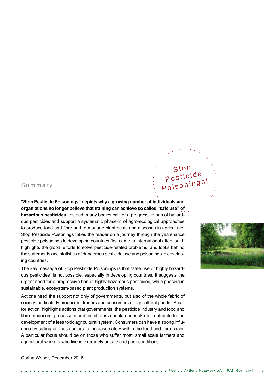#### Summary

**"Stop Pesticide Poisonings" depicts why a growing number of individuals and organiations no longer believe that training can achieve so called "safe use" of hazardous pesticides.** Instead, many bodies call for a progressive ban of hazardous pesticides and support a systematic phase-in of agro-ecological approaches to produce food and fibre and to manage plant pests and diseases in agriculture. Stop Pesticide Poisonings takes the reader on a journey through the years since pesticide poisonings in developing countries first came to international attention. It highlights the global efforts to solve pesticide-related problems, and looks behind the statements and statistics of dangerous pesticide use and poisonings in developing countries.

The key message of Stop Pesticide Poisonings is that "safe use of highly hazardous pesticides" is not possible, especially in developing countries. It suggests the urgent need for a progressive ban of highly hazardous pesticides, while phasing in sustainable, ecosystem-based plant production systems.

Actions need the support not only of governments, but also of the whole fabric of society: particularly producers, traders and consumers of agricultural goods. 'A call for action' highlights actions that governments, the pesticide industry and food and fibre producers, processors and distributors should undertake to contribute to the development of a less toxic agricultural system. Consumers can have a strong influence by calling on those actors to increase safety within the food and fibre chain. A particular focus should be on those who suffer most: small scale farmers and agricultural workers who live in extremely unsafe and poor conditions.

## Stop Pesticide Poisonings!



Carina Weber, December 2016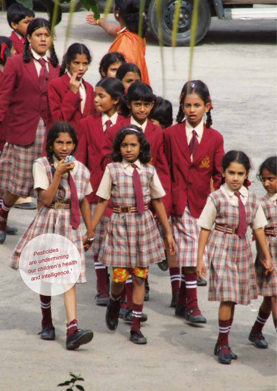*Pesticides are undermining our children's health and intelligence.<sup>1</sup>*

4 Pestizid Aktions-Netzwerk e.V. (PAN Germany)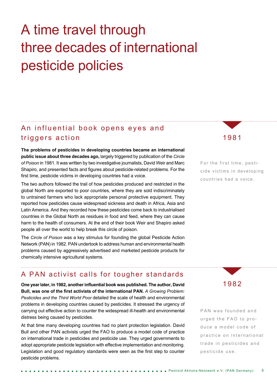## A time travel through three decades of international pesticide policies

#### An influential book opens eyes and triggers action

**The problems of pesticides in developing countries became an international public issue about three decades ago,** largely triggered by publication of the *Circle of Poison* in 1981. It was written by two investigative journalists, David Weir and Marc Shapiro, and presented facts and figures about pesticide-related problems. For the first time, pesticide victims in developing countries had a voice.

The two authors followed the trail of how pesticides produced and restricted in the global North are exported to poor countries, where they are sold indiscriminately to untrained farmers who lack appropriate personal protective equipment. They reported how pesticides cause widespread sickness and death in Africa, Asia and Latin America. And they recorded how these pesticides come back to industrialised countries in the Global North as residues in food and feed, where they can cause harm to the health of consumers. At the end of their book Weir and Shapiro asked people all over the world to help break this circle of poison.

The *Circle of Poison* was a key stimulus for founding the global Pesticide Action Network (PAN) in 1982. PAN undertook to address human and environmental health problems caused by aggressively advertised and marketed pesticide products for chemically intensive agricultural systems.

#### 1981

For the first time, pesticide victims in developing countries had a voice.

#### A PAN activist calls for tougher standards

**One year later, in 1982, another influential book was published. The author, David Bull, was one of the first activists of the international PAN.** *A Growing Problem: Pesticides and the Third World Poor* detailed the scale of health and environmental problems in developing countries caused by pesticides. It stressed the urgency of carrying out effective action to counter the widespread ill-health and environmental distress being caused by pesticides.

At that time many developing countries had no plant protection legislation. David Bull and other PAN activists urged the FAO to produce a model code of practice on international trade in pesticides and pesticide use. They urged governments to adopt appropriate pesticide legislation with effective implementation and monitoring. Legislation and good regulatory standards were seen as the first step to counter pesticide problems.

1982

PAN was founded and urged the FAO to produce a model code of practice on international trade in pesticides and pesticide use.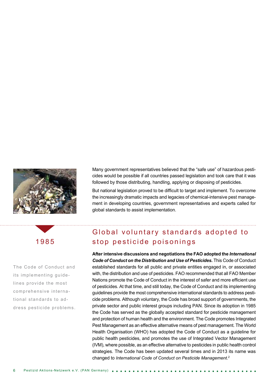

The Code of Conduct and its implementing guidelines provide the most comprehensive international standards to address pesticide problems. Many government representatives believed that the "safe use" of hazardous pesticides would be possible if all countries passed legislation and took care that it was followed by those distributing, handling, applying or disposing of pesticides.

But national legislation proved to be difficult to target and implement. To overcome the increasingly dramatic impacts and legacies of chemical-intensive pest management in developing countries, government representatives and experts called for global standards to assist implementation.

#### Global voluntary standards adopted to stop pesticide poisonings

**After intensive discussions and negotiations the FAO adopted the** *International Code of Conduct on the Distribution and Use of Pesticides***.** This Code of Conduct established standards for all public and private entities engaged in, or associated with, the distribution and use of pesticides. FAO recommended that all FAO Member Nations promote the Code of Conduct in the interest of safer and more efficient use of pesticides. At that time, and still today, the Code of Conduct and its implementing guidelines provide the most comprehensive international standards to address pesticide problems. Although voluntary, the Code has broad support of governments, the private sector and public interest groups including PAN. Since its adoption in 1985 the Code has served as the globally accepted standard for pesticide management and protection of human health and the environment. The Code promotes Integrated Pest Management as an effective alternative means of pest management. The World Health Organisation (WHO) has adopted the Code of Conduct as a guideline for public health pesticides, and promotes the use of Integrated Vector Management (IVM), where possible, as an effective alternative to pesticides in public health control strategies. The Code has been updated several times and in 2013 its name was changed to *International Code of Conduct on Pesticide Management*. 2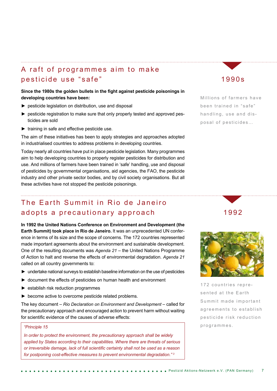### A raft of programmes aim to make pesticide use "safe"

#### **Since the 1980s the golden bullets in the fight against pesticide poisonings in developing countries have been:**

- ► pesticide legislation on distribution, use and disposal
- ► pesticide registration to make sure that only properly tested and approved pesticides are sold
- $\blacktriangleright$  training in safe and effective pesticide use.

The aim of these initiatives has been to apply strategies and approaches adopted in industrialised countries to address problems in developing countries.

Today nearly all countries have put in place pesticide legislation. Many programmes aim to help developing countries to properly register pesticides for distribution and use. And millions of farmers have been trained in 'safe' handling, use and disposal of pesticides by governmental organisations, aid agencies, the FAO, the pesticide industry and other private sector bodies, and by civil society organisations. But all these activities have not stopped the pesticide poisonings.

#### The Earth Summit in Rio de Janeiro adopts a precautionary approach

**In 1992 the United Nations Conference on Environment and Development (the Earth Summit) took place in Rio de Janeiro.** It was an unprecedented UN conference in terms of its size and the scope of concerns. The 172 countries represented made important agreements about the environment and sustainable development. One of the resulting documents was *Agenda 21* – the United Nations Programme of Action to halt and reverse the effects of environmental degradation. *Agenda 21* called on all country governments to:

- ► undertake national surveys to establish baseline information on the use of pesticides
- ► document the effects of pesticides on human health and environment
- ► establish risk reduction programmes
- ► become active to overcome pesticide related problems.

The key document – *Rio Declaration on Environment and Development* – called for the precautionary approach and encouraged action to prevent harm without waiting for scientific evidence of the causes of adverse effects:

#### *"Principle 15*

*In order to protect the environment, the precautionary approach shall be widely applied by States according to their capabilities. Where there are threats of serious or irreversible damage, lack of full scientific certainty shall not be used as a reason for postponing cost-effective measures to prevent environmental degradation." <sup>3</sup>*

#### 1990s

Millions of farmers have been trained in "safe" handling, use and dis posal of pesticides…

1992



172 countries repre sented at the Earth Summit made important agreements to establish pesticide risk reduction programmes.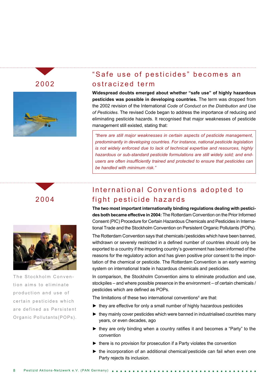

### "Safe use of pesticides" becomes an ostracized term

**Widespread doubts emerged about whether "safe use" of highly hazardous pesticides was possible in developing countries.** The term was dropped from the 2002 revision of the International *Code of Conduct on the Distribution and Use of Pesticides*. The revised Code began to address the importance of reducing and eliminating pesticide hazards. It recognised that major weaknesses of pesticide management still existed, stating that:

*"there are still major weaknesses in certain aspects of pesticide management, predominantly in developing countries. For instance, national pesticide legislation is not widely enforced due to lack of technical expertise and resources, highly hazardous or sub-standard pesticide formulations are still widely sold; and endusers are often insufficiently trained and protected to ensure that pesticides can be handled with minimum risk."* 

## 2004



The Stockholm Convention aims to eliminate production and use of certain pesticides which are defined as Persistent Organic Pollutants(POPs).

## International Conventions adopted to fight pesticide hazards

**The two most important internationally binding regulations dealing with pesticides both became effective in 2004:** The Rotterdam Convention on the Prior Informed Consent (PIC) Procedure for Certain Hazardous Chemicals and Pesticides in International Trade and the Stockholm Convention on Persistent Organic Pollutants (POPs).

The Rotterdam Convention says that chemicals/pesticides which have been banned, withdrawn or severely restricted in a defined number of countries should only be exported to a country if the importing country's government has been informed of the reasons for the regulatory action and has given positive prior consent to the importation of the chemical or pesticide. The Rotterdam Convention is an early warning system on international trade in hazardous chemicals and pesticides.

In comparison, the Stockholm Convention aims to eliminate production and use, stockpiles – and where possible presence in the environment – of certain chemicals / pesticides which are defined as POPs.

The limitations of these two international conventions $4$  are that:

- ► they are effective for only a small number of highly hazardous pesticides
- ► they mainly cover pesticides which were banned in industrialised countries many years, or even decades, ago
- ► they are only binding when a country ratifies it and becomes a "Party" to the convention
- ► there is no provision for prosecution if a Party violates the convention
- ► the incorporation of an additional chemical/pesticide can fail when even one Party rejects its inclusion.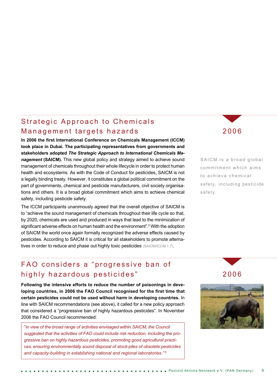#### Strategic Approach to Chemicals Management targets hazards

**In 2006 the first International Conference on Chemicals Management (ICCM) took place in Dubai. The participating representatives from governments and stakeholders adopted** *The Strategic Approach to International Chemicals Management* **(SAICM).** This new global policy and strategy aimed to achieve sound management of chemicals throughout their whole lifecycle in order to protect human health and ecosystems. As with the Code of Conduct for pesticides, SAICM is not a legally binding treaty. However, it constitutes a global political commitment on the part of governments, chemical and pesticide manufacturers, civil society organisations and others. It is a broad global commitment which aims to achieve chemical safety, including pesticide safety.

The ICCM participants unanimously agreed that the overall objective of SAICM is to "achieve the sound management of chemicals throughout their life cycle so that, by 2020, chemicals are used and produced in ways that lead to the minimization of significant adverse effects on human health and the environment".<sup>5</sup> With the adoption of SAICM the world once again formally recognized the adverse effects caused by pesticides. According to SAICM it is critical for all stakeholders to promote alternatives in order to reduce and phase out highly toxic pesticides (SAICM/ICCM.1.7).

#### 2006

SAICM is a broad global commitment which aims to achieve chemical safety, including pesticide safety.

## FAO considers a "progressive ban of highly hazardous pesticides"

**Following the intensive efforts to reduce the number of poisonings in developing countries, in 2006 the FAO Council recognised for the first time that certain pesticides could not be used without harm in developing countries.** In line with SAICM recommendations (see above), it called for a new policy approach that considered a "progressive ban of highly hazardous pesticides". In November 2006 the FAO Council recommended:

"*In view of the broad range of activities envisaged within SAICM, the Council suggested that the activities of FAO could include risk reduction, including the progressive ban on highly hazardous pesticides, promoting good agricultural practices, ensuring environmentally sound disposal of stock-piles of obsolete pesticides and capacity-building in establishing national and regional laboratories."* <sup>6</sup>

#### 2006

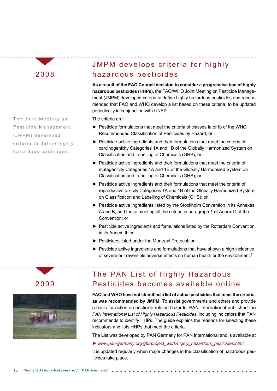The Joint Meeting on Pesticide Management (JMPM) developed criteria to define highly h a z a r d o u s p e sticides.

## JMPM develops criteria for highly hazardous pesticides

**As a result of the FAO Council decision to consider a progressive ban of highly hazardous pesticides (HHPs),** the FAO/WHO Joint Meeting on Pesticide Management (JMPM) developed criteria to define highly hazardous pesticides and recommended that FAO and WHO develop a list based on these criteria, to be updated periodically in conjunction with UNEP.

The criteria are:

- ► Pesticide formulations that meet the criteria of classes Ia or Ib of the WHO Recommended Classification of Pesticides by Hazard; or
- ► Pesticide active ingredients and their formulations that meet the criteria of carcinogenicity Categories 1A and 1B of the Globally Harmonized System on Classification and Labelling of Chemicals (GHS); or
- ► Pesticide active ingredients and their formulations that meet the criteria of mutagenicity Categories 1A and 1B of the Globally Harmonized System on Classification and Labelling of Chemicals (GHS); or
- ► Pesticide active ingredients and their formulations that meet the criteria of reproductive toxicity Categories 1A and 1B of the Globally Harmonized System on Classification and Labelling of Chemicals (GHS); or
- ► Pesticide active ingredients listed by the Stockholm Convention in its Annexes A and B, and those meeting all the criteria in paragraph 1 of Annex D of the Convention; or
- ► Pesticide active ingredients and formulations listed by the Rotterdam Convention in its Annex III; or
- ► Pesticides listed under the Montreal Protocol; or
- ► Pesticide active ingredients and formulations that have shown a high incidence of severe or irreversible adverse effects on human health or the environment.7

### 2009



## The PAN List of Highly Hazardous Pesticides becomes available online

**FAO and WHO have not identified a list of actual pesticides that meet the criteria, as was recommended by JMPM.** To assist governments and others and provide a basis for action on pesticide related hazards, PAN International published the *PAN International List of Highly Hazardous Pesticides*, including indicators that PAN recommends to identify HHPs. The guide explains the reasons for selecting these indicators and lists HHPs that meet the criteria.

The List was developed by PAN Germany for PAN International and is available at

#### ► *www.pan-germany.org/gbr/project\_work/highly\_hazardous\_pesticides.html*

It is updated regularly when major changes in the classification of hazardous pesticides take place.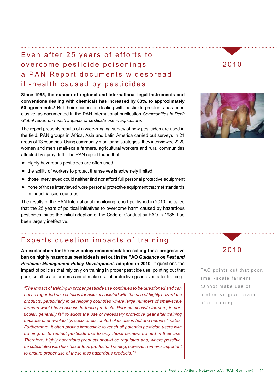### Even after 25 years of efforts to overcome pesticide poisonings a PAN Report documents widespread ill-health caused by pesticides

**Since 1985, the number of regional and international legal instruments and conventions dealing with chemicals has increased by 80%, to approximately 50 agreements.8** But their success in dealing with pesticide problems has been elusive, as documented in the PAN International publication *Communities in Peril; Global report on health impacts of pesticide use in agriculture.*

The report presents results of a wide-ranging survey of how pesticides are used in the field. PAN groups in Africa, Asia and Latin America carried out surveys in 21 areas of 13 countries. Using community monitoring strategies, they interviewed 2220 women and men small-scale farmers, agricultural workers and rural communities affected by spray drift. The PAN report found that:

- ► highly hazardous pesticides are often used
- ► the ability of workers to protect themselves is extremely limited
- ► those interviewed could neither find nor afford full personal protective equipment
- ► none of those interviewed wore personal protective equipment that met standards in industrialised countries.

The results of the PAN International monitoring report published in 2010 indicated that the 25 years of political initiatives to overcome harm caused by hazardous pesticides, since the initial adoption of the Code of Conduct by FAO in 1985, had been largely ineffective.

#### Experts question impacts of training

**An explanation for the new policy recommendation calling for a progressive ban on highly hazardous pesticides is set out in the FAO** *Guidance on Pest and Pesticide Management Policy Development***, adopted in 2010.** It questions the impact of policies that rely only on training in proper pesticide use, pointing out that poor, small-scale farmers cannot make use of protective gear, even after training.

*"The impact of training in proper pesticide use continues to be questioned and can not be regarded as a solution for risks associated with the use of highly hazardous products, particularly in developing countries where large numbers of small-scale farmers would have access to these products. Poor small-scale farmers, in particular, generally fail to adopt the use of necessary protective gear after training because of unavailability, costs or discomfort of its use in hot and humid climates. Furthermore, it often proves impossible to reach all potential pesticide users with training, or to restrict pesticide use to only those farmers trained in their use. Therefore, highly hazardous products should be regulated and, where possible, be substituted with less hazardous products. Training, however, remains important to ensure proper use of these less hazardous products." 9*

#### 2010





FAO points out that poor, small-scale farmers cannot make use of protective gear, even after training.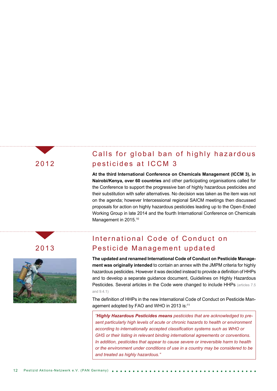### Calls for global ban of highly hazardous pesticides at ICCM 3

**At the third International Conference on Chemicals Management (ICCM 3), in Nairobi/Kenya, over 60 countries** and other participating organisations called for the Conference to support the progressive ban of highly hazardous pesticides and their substitution with safer alternatives. No decision was taken as the item was not on the agenda; however Intercessional regional SAICM meetings then discussed proposals for action on highly hazardous pesticides leading up to the Open-Ended Working Group in late 2014 and the fourth International Conference on Chemicals Management in 2015.<sup>10</sup>

## 2013



#### International Code of Conduct on Pesticide Management updated

**The updated and renamed International Code of Conduct on Pesticide Management was originally intended** to contain an annex with the JMPM criteria for highly hazardous pesticides. However it was decided instead to provide a definition of HHPs and to develop a separate guidance document, Guidelines on Highly Hazardous Pesticides. Several articles in the Code were changed to include HHPs (articles 7.5 and 9.4.1)

The definition of HHPs in the new International Code of Conduct on Pesticide Management adopted by FAO and WHO in 2013 is:<sup>11</sup>

*"Highly Hazardous Pesticides means pesticides that are acknowledged to present particularly high levels of acute or chronic hazards to health or environment according to internationally accepted classification systems such as WHO or GHS or their listing in relevant binding international agreements or conventions. In addition, pesticides that appear to cause severe or irreversible harm to health or the environment under conditions of use in a country may be considered to be and treated as highly hazardous."*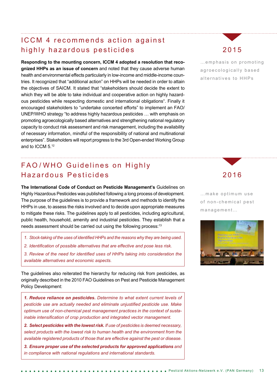#### ICCM 4 recommends action against highly hazardous pesticides

**Responding to the mounting concern, ICCM 4 adopted a resolution that recognized HHPs as an issue of concern** and noted that they cause adverse human health and environmental effects particularly in low-income and middle-income countries. It recognized that "additional action" on HHPs will be needed in order to attain the objectives of SAICM. It stated that "stakeholders should decide the extent to which they will be able to take individual and cooperative action on highly hazardous pesticides while respecting domestic and international obligations". Finally it encouraged stakeholders to "undertake concerted efforts" to implement an FAO/ UNEP/WHO strategy "to address highly hazardous pesticides … with emphasis on promoting agroecologically based alternatives and strengthening national regulatory capacity to conduct risk assessment and risk management, including the availability of necessary information, mindful of the responsibility of national and multinational enterprises". Stakeholders will report progress to the 3rd Open-ended Working Group and to ICCM 5<sup>12</sup>

## FAO/WHO Guidelines on Highly Hazardous Pesticides

**The International Code of Conduct on Pesticide Management's** Guidelines on Highly Hazardous Pesticides was published following a long process of development. The purpose of the guidelines is to provide a framework and methods to identify the HHPs in use, to assess the risks involved and to decide upon appropriate measures to mitigate these risks. The guidelines apply to all pesticides, including agricultural, public health, household, amenity and industrial pesticides. They establish that a needs assessment should be carried out using the following process:<sup>13</sup>

- *1. Stock-taking of the uses of identified HHPs and the reasons why they are being used.*
- *2. Identification of possible alternatives that are effective and pose less risk.*
- *3. Review of the need for identified uses of HHPs taking into consideration the available alternatives and economic aspects.*

The guidelines also reiterated the hierarchy for reducing risk from pesticides, as originally described in the 2010 FAO Guidelines on Pest and Pesticide Management Policy Development:

*1. Reduce reliance on pesticides. Determine to what extent current levels of pesticide use are actually needed and eliminate unjustified pesticide use. Make optimum use of non-chemical pest management practices in the context of sustainable intensification of crop production and integrated vector management.* 

*2. Select pesticides with the lowest risk. If use of pesticides is deemed necessary, select products with the lowest risk to human health and the environment from the available registered products of those that are effective against the pest or disease.* 

*3. Ensure proper use of the selected products for approved applications and in compliance with national regulations and international standards.* 

## 2015

... emphasis on promoting a groecologically based alternatives to HHPs

#### 2016

...make optimum use of non-chemical pest management…

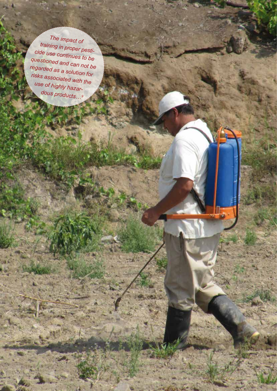*The impact of training in proper pesticide use continues to be questioned and can not be regarded as a solution for risks associated with the use of highly hazardous products…9*

14 Pestizid Aktions-Netzwerk e.V. (PAN Germany)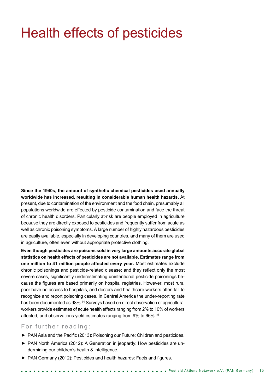## Health effects of pesticides

**Since the 1940s, the amount of synthetic chemical pesticides used annually worldwide has increased, resulting in considerable human health hazards.** At present, due to contamination of the environment and the food chain, presumably all populations worldwide are effected by pesticide contamination and face the threat of chronic health disorders. Particularly at-risk are people employed in agriculture because they are directly exposed to pesticides and frequently suffer from acute as well as chronic poisoning symptoms. A large number of highly hazardous pesticides are easily available, especially in developing countries, and many of them are used in agriculture, often even without appropriate protective clothing.

**Even though pesticides are poisons sold in very large amounts accurate global statistics on health effects of pesticides are not available. Estimates range from one million to 41 million people affected every year.** Most estimates exclude chronic poisonings and pesticide-related disease; and they reflect only the most severe cases, significantly underestimating unintentional pesticide poisonings because the figures are based primarily on hospital registries. However, most rural poor have no access to hospitals, and doctors and healthcare workers often fail to recognize and report poisoning cases. In Central America the under-reporting rate has been documented as 98%.<sup>14</sup> Surveys based on direct observation of agricultural workers provide estimates of acute health effects ranging from 2% to 10% of workers affected, and observations yield estimates ranging from 9% to 66%.15

#### For further reading:

- ► PAN Asia and the Pacific (2013): Poisoning our Future: Children and pesticides.
- ► PAN North America (2012): A Generation in jeopardy: How pesticides are undermining our children's health & intelligence.
- ► PAN Germany (2012): Pesticides and health hazards: Facts and figures.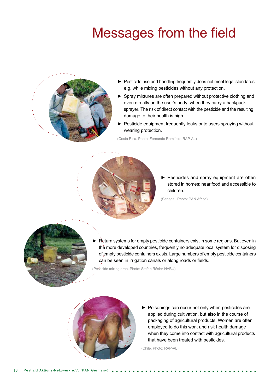## Messages from the field



- ► Pesticide use and handling frequently does not meet legal standards, e.g. while mixing pesticides without any protection.
- ► Spray mixtures are often prepared without protective clothing and even directly on the user's body, when they carry a backpack sprayer. The risk of direct contact with the pesticide and the resulting damage to their health is high.
- ► Pesticide equipment frequently leaks onto users spraying without wearing protection.

(Costa Rica. Photo: Fernando Ramiírez, RAP-AL)



► Pesticides and spray equipment are often stored in homes: near food and accessible to children.

(Senegal. Photo: PAN Africa)



Return systems for empty pesticide containers exist in some regions. But even in the more developed countries, frequently no adequate local system for disposing of empty pesticide containers exists. Large numbers of empty pesticide containers can be seen in irrigation canals or along roads or fields.

(Pesticide mixing area. Photo: Stefan Rösler-NABU)



► Poisonings can occur not only when pesticides are applied during cultivation, but also in the course of packaging of agricultural products. Women are often employed to do this work and risk health damage when they come into contact with agricultural products that have been treated with pesticides.

(Chile. Photo: RAP-AL)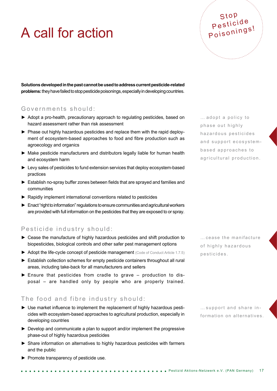## A call for action

**Solutions developed in the past cannot be used to address current pesticide-related problems:** they have failed to stop pesticide poisonings, especially in developing countries.

#### Governments should:

- ► Adopt a pro-health, precautionary approach to regulating pesticides, based on hazard assessment rather than risk assessment
- ► Phase out highly hazardous pesticides and replace them with the rapid deployment of ecosystem-based approaches to food and fibre production such as agroecology and organics
- ► Make pesticide manufacturers and distributors legally liable for human health and ecosystem harm
- ► Levy sales of pesticides to fund extension services that deploy ecosystem-based practices
- ► Establish no-spray buffer zones between fields that are sprayed and families and communities
- ► Rapidly implement international conventions related to pesticides
- ► Enact "right to information" regulations to ensure communities and agricultural workers are provided with full information on the pesticides that they are exposed to or spray.

#### Pesticide industry should:

- ► Cease the manufacture of highly hazardous pesticides and shift production to biopesticides, biological controls and other safer pest management options
- ► Adopt the life-cycle concept of pesticide management (Code of Conduct Article 1.7.5)
- ► Establish collection schemes for empty pesticide containers throughout all rural areas, including take-back for all manufacturers and sellers
- ► Ensure that pesticides from cradle to grave production to disposal – are handled only by people who are properly trained.

#### The food and fibre industry should:

- ► Use market influence to implement the replacement of highly hazardous pesticides with ecosystem-based approaches to agricultural production, especially in developing countries
- ► Develop and communicate a plan to support and/or implement the progressive phase-out of highly hazardous pesticides
- ► Share information on alternatives to highly hazardous pesticides with farmers and the public
- ► Promote transparency of pesticide use.

... adopt a policy to phase out highly h a z a r d o u s p e sticides and support ecosystembased approaches to agricultural production.

Stop Pesticide Poisonings!

…cease the manifacture of highly hazardous pesticides.

…support and share in formation on alternatives.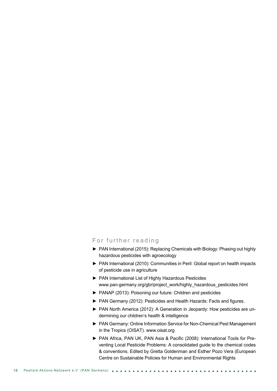#### For further reading

- ► PAN International (2015): Replacing Chemicals with Biology: Phasing out highly hazardous pesticides with agroecology
- ► PAN International (2010): Communities in Peril: Global report on health impacts of pesticide use in agriculture
- ► PAN International List of Highly Hazardous Pesticides www.pan-germany.org/gbr/project\_work/highly\_hazardous\_pesticides.html
- ► PANAP (2013): Poisoning our future: Children and pesticides
- ► PAN Germany (2012): Pesticides and Health Hazards: Facts and figures.
- ► PAN North America (2012): A Generation in Jeopardy: How pesticides are undermining our children's health & intelligence
- ► PAN Germany: Online Information Service for Non-Chemical Pest Management in the Tropics (OISAT). www.oisat.org
- ► PAN Africa, PAN UK, PAN Asia & Pacific (2008): International Tools for Preventing Local Pesticide Problems: A consolidated guide to the chemical codes & conventions. Edited by Gretta Goldenman and Esther Pozo Vera (European Centre on Sustainable Policies for Human and Environmental Rights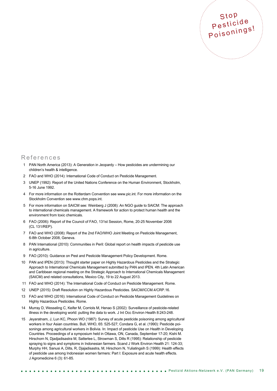

#### References

- 1 PAN North America (2013): A Generation in Jeopardy How pesticides are undermining our children's health & intelligence.
- 2 FAO and WHO (2014): International Code of Conduct on Pesticide Management.
- 3 UNEP (1992): Report of the United Nations Conference on the Human Environment, Stockholm, 5-16 June 1992.
- 4 For more information on the Rotterdam Convention see www.pic.int. For more information on the Stockholm Convention see www.chm.pops.int.
- 5 For more information on SAICM see: Weinberg J (2008): An NGO guide to SAICM: The approach to international chemicals management. A framework for action to protect human health and the environment from toxic chemicals.
- 6 FAO (2006): Report of the Council of FAO, 131st Session, Rome, 20-25 November 2006 (CL 131/REP).
- 7 FAO and WHO (2008): Report of the 2nd FAO/WHO Joint Meeting on Pesticide Management, 6-8th October 2008, Geneva.
- 8 PAN International (2010): Communities in Peril: Global report on health impacts of pesticide use in agriculture.
- 9 FAO (2010): Guidance on Pest and Pesticide Management Policy Development. Rome.
- 10 PAN and IPEN (2013): Thought starter paper on Highly Hazardous Pesticides and the Strategic Approach to International Chemicals Management submitted by PAN and IPEN. 4th Latin American and Caribbean regional meeting on the Strategic Approach to International Chemicals Management (SAICM) and related consultations, Mexico City, 19 to 22 August 2013.
- 11 FAO and WHO (2014): The International Code of Conduct on Pesticide Management. Rome.
- 12 UNEP (2015): Draft Resolution on Highly Hazardous Pesticides. SAICM/ICCM.4/CRP.16.
- 13 FAO and WHO (2016): International Code of Conduct on Pesticide Management Guidelines on Highly Hazardous Pesticides. Rome.
- 14 Murray D, Wesseling C, Keifer M, Corriols M, Henao S (2002): Surveillance of pesticide-related illness in the developing world: putting the data to work. J Int Occ Environ Health 8:243-248.
- 15 Jeyaratnam, J, Lun KC, Phoon WO (1987): Survey of acute pesticide poisoning among agricultural workers in four Asian countries. Bull, WHO, 65: 525-527; Condara G, et al. (1990): Pesticide poisonings among agricultural workers in Bolivia. In: Impact of pesticide Use on Health in Developing Countries. Proceedings of a symposium held in Ottawa, ON, Canada, September 17-20; Kishi M. Hirschorn N, Djadjadisastra M, Satterlee L, Strowman S, Dilts R (1995): Relationship of pesticide spraying to signs and symptoms in Indonesian farmers. Scand J Work Environ Health 21: 124-33; Murphy HH, Sanusi A, Dilts, R, Djajadisastra, M, Hirschorn N, Yuliatingsih S (1999): Health effects of pesticide use among Indonesian women farmers: Part I: Exposure and acute health effects. J Agromedicine 6 (3): 61-85.